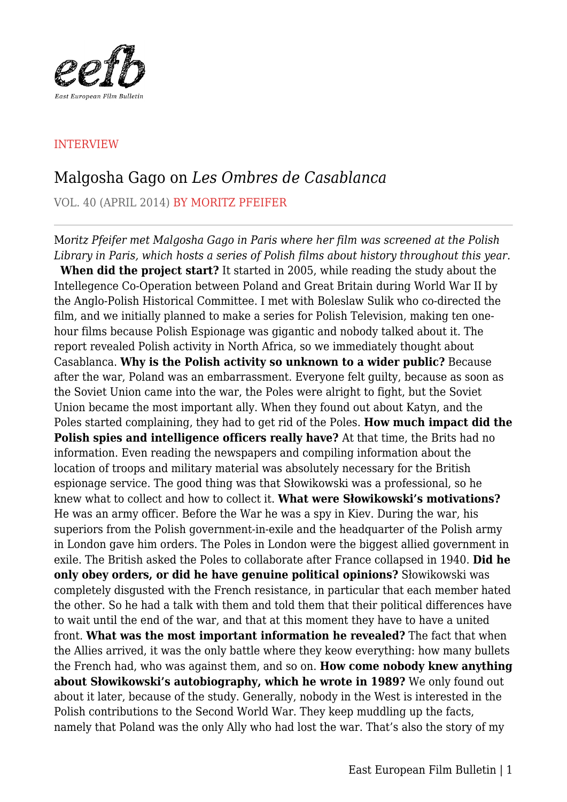

## INTERVIEW

## Malgosha Gago on *Les Ombres de Casablanca*

VOL. 40 (APRIL 2014) BY MORITZ PFEIFER

M*oritz Pfeifer met Malgosha Gago in Paris where her film was screened at the Polish Library in Paris, which hosts a series of Polish films about history throughout this year.* **When did the project start?** It started in 2005, while reading the study about the Intellegence Co-Operation between Poland and Great Britain during World War II by the Anglo-Polish Historical Committee. I met with Boleslaw Sulik who co-directed the film, and we initially planned to make a series for Polish Television, making ten onehour films because Polish Espionage was gigantic and nobody talked about it. The report revealed Polish activity in North Africa, so we immediately thought about Casablanca. **Why is the Polish activity so unknown to a wider public?** Because after the war, Poland was an embarrassment. Everyone felt guilty, because as soon as the Soviet Union came into the war, the Poles were alright to fight, but the Soviet Union became the most important ally. When they found out about Katyn, and the Poles started complaining, they had to get rid of the Poles. **How much impact did the Polish spies and intelligence officers really have?** At that time, the Brits had no information. Even reading the newspapers and compiling information about the location of troops and military material was absolutely necessary for the British espionage service. The good thing was that Słowikowski was a professional, so he knew what to collect and how to collect it. **What were Słowikowski's motivations?** He was an army officer. Before the War he was a spy in Kiev. During the war, his superiors from the Polish government-in-exile and the headquarter of the Polish army in London gave him orders. The Poles in London were the biggest allied government in exile. The British asked the Poles to collaborate after France collapsed in 1940. **Did he only obey orders, or did he have genuine political opinions?** Słowikowski was completely disgusted with the French resistance, in particular that each member hated the other. So he had a talk with them and told them that their political differences have to wait until the end of the war, and that at this moment they have to have a united front. **What was the most important information he revealed?** The fact that when the Allies arrived, it was the only battle where they keow everything: how many bullets the French had, who was against them, and so on. **How come nobody knew anything about Słowikowski's autobiography, which he wrote in 1989?** We only found out about it later, because of the study. Generally, nobody in the West is interested in the Polish contributions to the Second World War. They keep muddling up the facts, namely that Poland was the only Ally who had lost the war. That's also the story of my